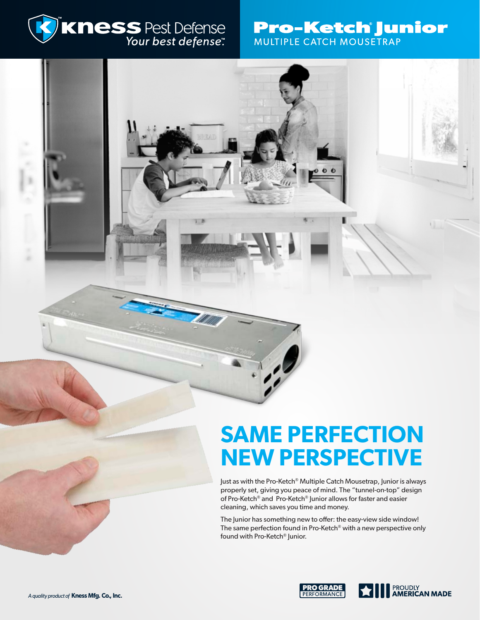

# **Pro-Ketch Junior MULTIPLE CATCH MOUSETRAP**

# **SAME PERFECTION NEW PERSPECTIVE**

Just as with the Pro-Ketch® Multiple Catch Mousetrap, Junior is always properly set, giving you peace of mind. The "tunnel-on-top" design of Pro-Ketch® and Pro-Ketch® Junior allows for faster and easier cleaning, which saves you time and money.

The Junior has something new to offer: the easy-view side window! The same perfection found in Pro-Ketch<sup>®</sup> with a new perspective only found with Pro-Ketch® Junior.